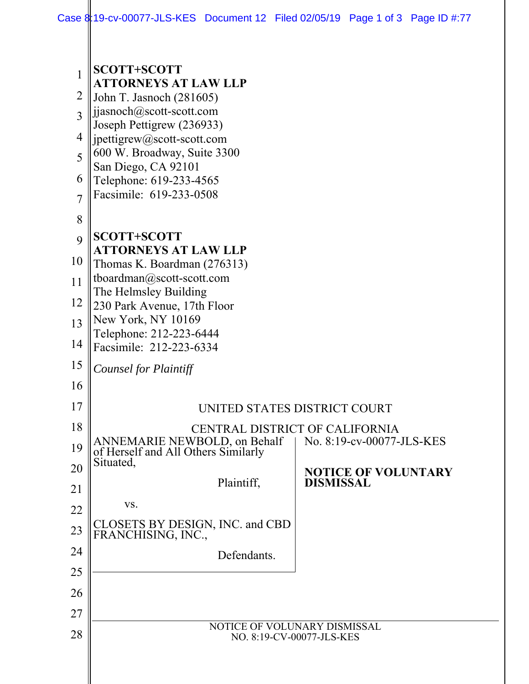| 1                   | <b>SCOTT+SCOTT</b>                                                                              |                            |  |
|---------------------|-------------------------------------------------------------------------------------------------|----------------------------|--|
| 2                   | <b>ATTORNEYS AT LAW LLP</b><br>John T. Jasnoch (281605)                                         |                            |  |
| 3                   | jjasnoch@scott-scott.com                                                                        |                            |  |
| 4                   | Joseph Pettigrew (236933)                                                                       |                            |  |
| 5                   | jpettigrew@scott-scott.com<br>600 W. Broadway, Suite 3300                                       |                            |  |
|                     | San Diego, CA 92101                                                                             |                            |  |
| 6<br>$\overline{7}$ | Telephone: 619-233-4565<br>Facsimile: 619-233-0508                                              |                            |  |
|                     |                                                                                                 |                            |  |
| 8                   | <b>SCOTT+SCOTT</b>                                                                              |                            |  |
| 9                   | <b>ATTORNEYS AT LAW LLP</b>                                                                     |                            |  |
| 10                  | Thomas K. Boardman (276313)                                                                     |                            |  |
| 11                  | tboardman@scott-scott.com<br>The Helmsley Building                                              |                            |  |
| 12                  | 230 Park Avenue, 17th Floor                                                                     |                            |  |
| 13                  | New York, NY 10169<br>Telephone: 212-223-6444                                                   |                            |  |
| 14                  | Facsimile: 212-223-6334                                                                         |                            |  |
| 15                  | Counsel for Plaintiff                                                                           |                            |  |
| 16                  |                                                                                                 |                            |  |
| 17                  | UNITED STATES DISTRICT COURT                                                                    |                            |  |
| 18                  | CENTRAL DISTRICT OF CALIFORNIA                                                                  |                            |  |
| 19                  | ANNEMARIE NEWBOLD, on Behalf   No. 8:19-cv-00077-JLS-KES<br>of Herself and All Others Similarly |                            |  |
| 20                  | Situated,                                                                                       | <b>NOTICE OF VOLUNTARY</b> |  |
| 21                  | Plaintiff,                                                                                      | <b>DISMISSAL</b>           |  |
| 22                  | VS.                                                                                             |                            |  |
| 23                  | CLOSETS BY DESIGN, INC. and CBD<br>FRANCHISING, INC.,                                           |                            |  |
| 24                  | Defendants.                                                                                     |                            |  |
| 25                  |                                                                                                 |                            |  |
| 26                  |                                                                                                 |                            |  |
| 27                  |                                                                                                 |                            |  |
| 28                  | NOTICE OF VOLUNARY DISMISSAL<br>NO. 8:19-CV-00077-JLS-KES                                       |                            |  |
|                     |                                                                                                 |                            |  |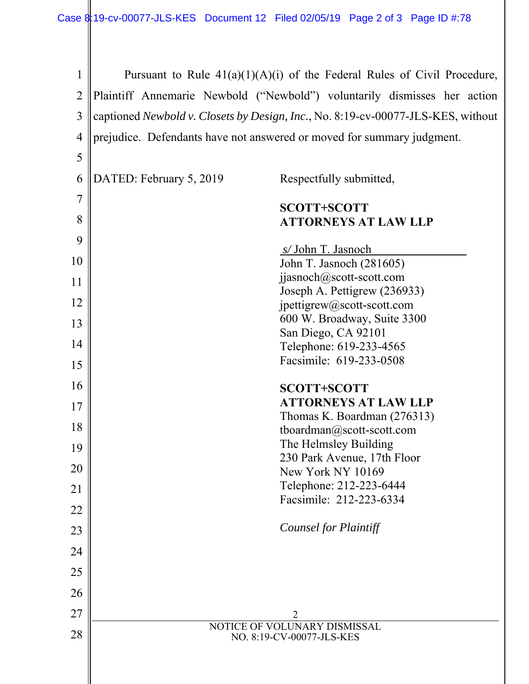| Pursuant to Rule $41(a)(1)(A)(i)$ of the Federal Rules of Civil Procedure,       |                                                            |  |
|----------------------------------------------------------------------------------|------------------------------------------------------------|--|
| Plaintiff Annemarie Newbold ("Newbold") voluntarily dismisses her action         |                                                            |  |
| captioned Newbold v. Closets by Design, Inc., No. 8:19-cv-00077-JLS-KES, without |                                                            |  |
| prejudice. Defendants have not answered or moved for summary judgment.           |                                                            |  |
|                                                                                  |                                                            |  |
| DATED: February 5, 2019                                                          | Respectfully submitted,                                    |  |
|                                                                                  | <b>SCOTT+SCOTT</b>                                         |  |
|                                                                                  | <b>ATTORNEYS AT LAW LLP</b>                                |  |
|                                                                                  | s/John T. Jasnoch                                          |  |
|                                                                                  | John T. Jasnoch (281605)                                   |  |
|                                                                                  | jjasnoch@scott-scott.com                                   |  |
|                                                                                  | Joseph A. Pettigrew (236933)<br>jpettigrew@scott-scott.com |  |
|                                                                                  | 600 W. Broadway, Suite 3300                                |  |
|                                                                                  | San Diego, CA 92101<br>Telephone: 619-233-4565             |  |
|                                                                                  | Facsimile: 619-233-0508                                    |  |
|                                                                                  | <b>SCOTT+SCOTT</b>                                         |  |
|                                                                                  | <b>ATTORNEYS AT LAW LLP</b>                                |  |
|                                                                                  | Thomas K. Boardman (276313)                                |  |
|                                                                                  | tboardman@scott-scott.com<br>The Helmsley Building         |  |
|                                                                                  | 230 Park Avenue, 17th Floor                                |  |
|                                                                                  | New York NY 10169                                          |  |
|                                                                                  | Telephone: 212-223-6444<br>Facsimile: 212-223-6334         |  |
|                                                                                  |                                                            |  |
|                                                                                  | <b>Counsel for Plaintiff</b>                               |  |
|                                                                                  |                                                            |  |
|                                                                                  |                                                            |  |
|                                                                                  |                                                            |  |
|                                                                                  | 2                                                          |  |
|                                                                                  | NOTICE OF VOLUNARY DISMISSAL<br>NO. 8:19-CV-00077-JLS-KES  |  |
|                                                                                  |                                                            |  |
|                                                                                  |                                                            |  |
|                                                                                  |                                                            |  |